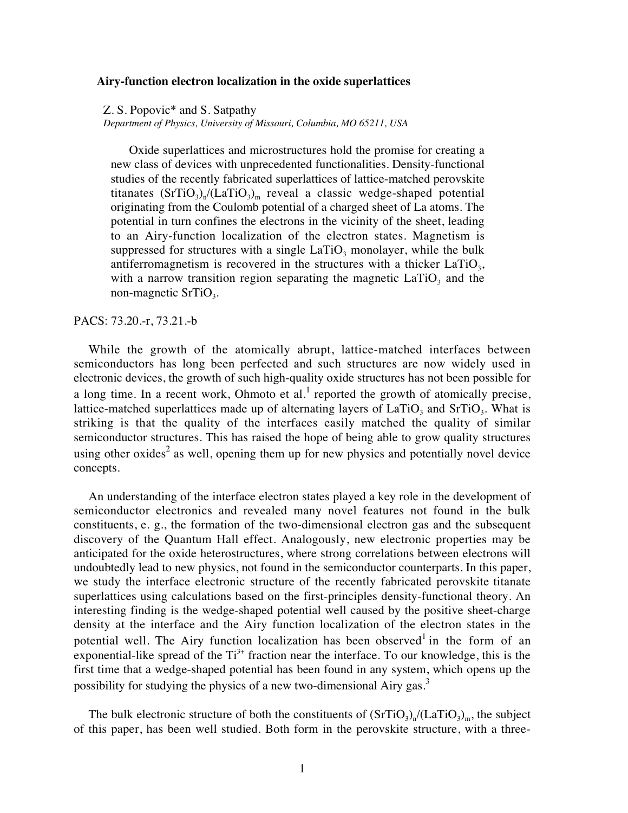## **Airy-function electron localization in the oxide superlattices**

Z. S. Popovic\* and S. Satpathy

*Department of Physics, University of Missouri, Columbia, MO 65211, USA*

Oxide superlattices and microstructures hold the promise for creating a new class of devices with unprecedented functionalities. Density-functional studies of the recently fabricated superlattices of lattice-matched perovskite titanates  $(SrTiO<sub>3</sub>)<sub>n</sub>/(LaTiO<sub>3</sub>)<sub>m</sub>$  reveal a classic wedge-shaped potential originating from the Coulomb potential of a charged sheet of La atoms. The potential in turn confines the electrons in the vicinity of the sheet, leading to an Airy-function localization of the electron states. Magnetism is suppressed for structures with a single  $LaTiO<sub>3</sub>$  monolayer, while the bulk antiferromagnetism is recovered in the structures with a thicker  $LaTiO<sub>3</sub>$ , with a narrow transition region separating the magnetic  $LaTiO<sub>3</sub>$  and the non-magnetic  $SrTiO<sub>3</sub>$ .

PACS: 73.20.-r, 73.21.-b

While the growth of the atomically abrupt, lattice-matched interfaces between semiconductors has long been perfected and such structures are now widely used in electronic devices, the growth of such high-quality oxide structures has not been possible for a long time. In a recent work, Ohmoto et al.<sup>1</sup> reported the growth of atomically precise, lattice-matched superlattices made up of alternating layers of  $LaTiO<sub>3</sub>$  and  $SrTiO<sub>3</sub>$ . What is striking is that the quality of the interfaces easily matched the quality of similar semiconductor structures. This has raised the hope of being able to grow quality structures using other oxides<sup>2</sup> as well, opening them up for new physics and potentially novel device concepts.

An understanding of the interface electron states played a key role in the development of semiconductor electronics and revealed many novel features not found in the bulk constituents, e. g., the formation of the two-dimensional electron gas and the subsequent discovery of the Quantum Hall effect. Analogously, new electronic properties may be anticipated for the oxide heterostructures, where strong correlations between electrons will undoubtedly lead to new physics, not found in the semiconductor counterparts. In this paper, we study the interface electronic structure of the recently fabricated perovskite titanate superlattices using calculations based on the first-principles density-functional theory. An interesting finding is the wedge-shaped potential well caused by the positive sheet-charge density at the interface and the Airy function localization of the electron states in the potential well. The Airy function localization has been observed in the form of an exponential-like spread of the  $Ti<sup>3+</sup>$  fraction near the interface. To our knowledge, this is the first time that a wedge-shaped potential has been found in any system, which opens up the possibility for studying the physics of a new two-dimensional Airy gas.<sup>3</sup>

The bulk electronic structure of both the constituents of  $(SrTiO<sub>3</sub>)<sub>n</sub>/(LaTiO<sub>3</sub>)<sub>m</sub>$ , the subject of this paper, has been well studied. Both form in the perovskite structure, with a three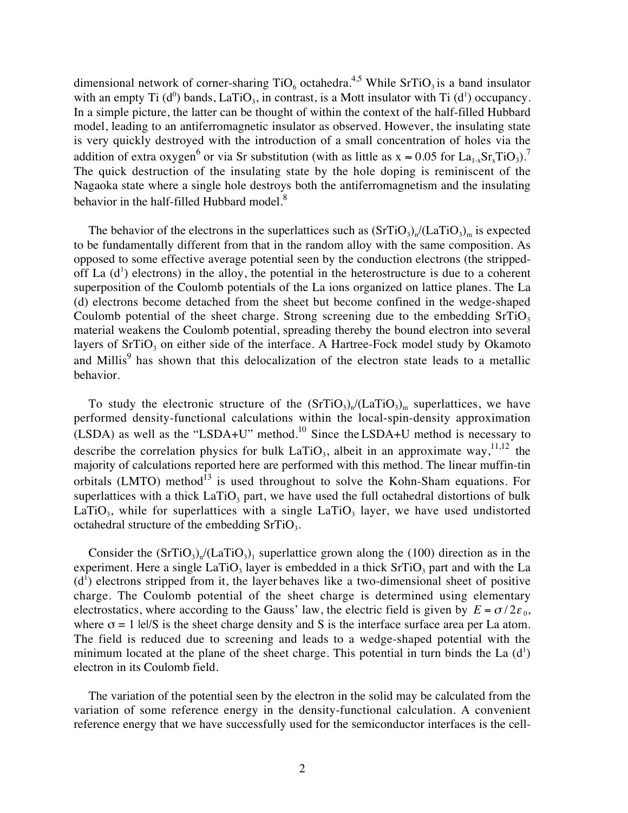dimensional network of corner-sharing  $TiO_6$  octahedra.<sup>4,5</sup> While SrTiO<sub>3</sub> is a band insulator with an empty Ti  $(d^0)$  bands, LaTiO<sub>3</sub>, in contrast, is a Mott insulator with Ti  $(d^1)$  occupancy. In a simple picture, the latter can be thought of within the context of the half-filled Hubbard model, leading to an antiferromagnetic insulator as observed. However, the insulating state is very quickly destroyed with the introduction of a small concentration of holes via the addition of extra oxygen<sup>6</sup> or via Sr substitution (with as little as  $x \approx 0.05$  for  $La_{1-x}Sr_xTiO_3$ ).<sup>7</sup> The quick destruction of the insulating state by the hole doping is reminiscent of the Nagaoka state where a single hole destroys both the antiferromagnetism and the insulating behavior in the half-filled Hubbard model.<sup>8</sup>

The behavior of the electrons in the superlattices such as  $(SrTiO<sub>3</sub>)<sub>n</sub>/(LaTiO<sub>3</sub>)<sub>m</sub>$  is expected to be fundamentally different from that in the random alloy with the same composition. As opposed to some effective average potential seen by the conduction electrons (the strippedoff La  $(d<sup>1</sup>)$  electrons) in the alloy, the potential in the heterostructure is due to a coherent superposition of the Coulomb potentials of the La ions organized on lattice planes. The La (d) electrons become detached from the sheet but become confined in the wedge-shaped Coulomb potential of the sheet charge. Strong screening due to the embedding  $SrTiO<sub>3</sub>$ material weakens the Coulomb potential, spreading thereby the bound electron into several layers of  $SrTiO<sub>3</sub>$  on either side of the interface. A Hartree-Fock model study by Okamoto and Millis<sup>9</sup> has shown that this delocalization of the electron state leads to a metallic behavior.

To study the electronic structure of the  $(SrTiO<sub>3</sub>)<sub>n</sub>/(LaTiO<sub>3</sub>)<sub>m</sub>$  superlattices, we have performed density-functional calculations within the local-spin-density approximation (LSDA) as well as the "LSDA+U" method.<sup>10</sup> Since the LSDA+U method is necessary to describe the correlation physics for bulk  $LaTiO<sub>3</sub>$ , albeit in an approximate way,<sup>11,12</sup> the majority of calculations reported here are performed with this method. The linear muffin-tin orbitals (LMTO) method $13$  is used throughout to solve the Kohn-Sham equations. For superlattices with a thick  $LaTiO<sub>3</sub>$  part, we have used the full octahedral distortions of bulk LaTiO<sub>3</sub>, while for superlattices with a single LaTiO<sub>3</sub> layer, we have used undistorted octahedral structure of the embedding  $SrTiO<sub>3</sub>$ .

Consider the  $(SrTiO<sub>3</sub>)<sub>n</sub>/(LaTiO<sub>3</sub>)<sub>1</sub>$  superlattice grown along the (100) direction as in the experiment. Here a single LaTiO<sub>3</sub> layer is embedded in a thick  $SrTiO<sub>3</sub>$  part and with the La  $(d<sup>1</sup>)$  electrons stripped from it, the layer behaves like a two-dimensional sheet of positive charge. The Coulomb potential of the sheet charge is determined using elementary electrostatics, where according to the Gauss' law, the electric field is given by  $E = \sigma/2\varepsilon_0$ , where  $\sigma = 1$  lel/S is the sheet charge density and S is the interface surface area per La atom. The field is reduced due to screening and leads to a wedge-shaped potential with the minimum located at the plane of the sheet charge. This potential in turn binds the La  $(d<sup>1</sup>)$ electron in its Coulomb field.

The variation of the potential seen by the electron in the solid may be calculated from the variation of some reference energy in the density-functional calculation. A convenient reference energy that we have successfully used for the semiconductor interfaces is the cell-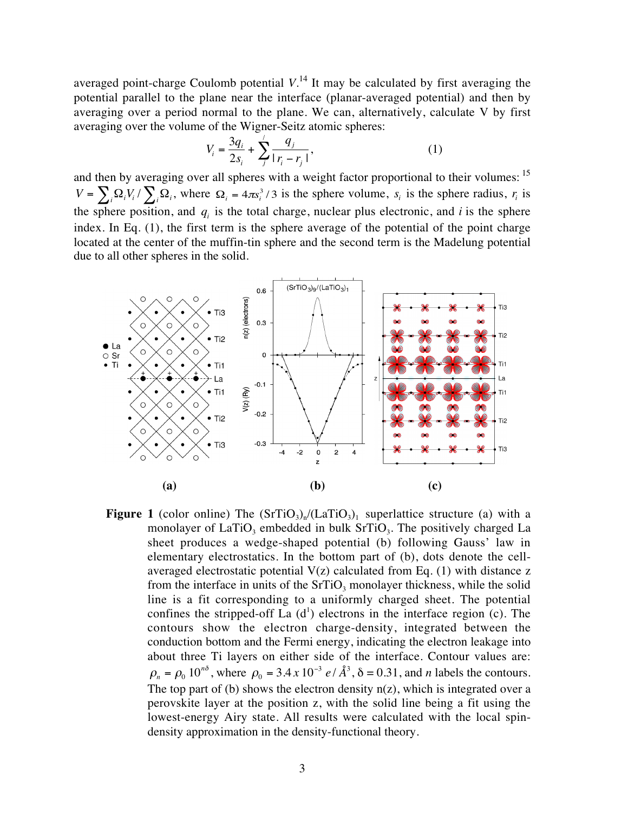averaged point-charge Coulomb potential *V*. 14 It may be calculated by first averaging the potential parallel to the plane near the interface (planar-averaged potential) and then by averaging over a period normal to the plane. We can, alternatively, calculate V by first averaging over the volume of the Wigner-Seitz atomic spheres:

$$
V_i = \frac{3q_i}{2s_i} + \sum_{j}^{'} \frac{q_j}{|r_i - r_j|},
$$
\n(1)

and then by averaging over all spheres with a weight factor proportional to their volumes: <sup>15</sup>  $V = \sum_i \Omega_i V_i / \sum_i \Omega_i$ , where  $\Omega_i = 4\pi s_i^3 / 3$  is the sphere volume,  $s_i$  is the sphere radius,  $r_i$  is the sphere position, and  $q_i$  is the total charge, nuclear plus electronic, and  $i$  is the sphere index. In Eq. (1), the first term is the sphere average of the potential of the point charge located at the center of the muffin-tin sphere and the second term is the Madelung potential due to all other spheres in the solid.



**Figure 1** (color online) The  $(SrTiO<sub>3</sub>)<sub>n</sub>/(LaTiO<sub>3</sub>)<sub>1</sub>$  superlattice structure (a) with a monolayer of  $LaTiO<sub>3</sub>$  embedded in bulk  $SrTiO<sub>3</sub>$ . The positively charged La sheet produces a wedge-shaped potential (b) following Gauss' law in elementary electrostatics. In the bottom part of (b), dots denote the cellaveraged electrostatic potential  $V(z)$  calculated from Eq. (1) with distance z from the interface in units of the  $SrTiO<sub>3</sub>$  monolayer thickness, while the solid line is a fit corresponding to a uniformly charged sheet. The potential confines the stripped-off La  $(d<sup>1</sup>)$  electrons in the interface region (c). The contours show the electron charge-density, integrated between the conduction bottom and the Fermi energy, indicating the electron leakage into about three Ti layers on either side of the interface. Contour values are:  $\rho_n = \rho_0 10^{n\delta}$ , where  $\rho_0 = 3.4 \times 10^{-3} e/\AA^3$ ,  $\delta = 0.31$ , and *n* labels the contours. The top part of (b) shows the electron density  $n(z)$ , which is integrated over a perovskite layer at the position z, with the solid line being a fit using the lowest-energy Airy state. All results were calculated with the local spindensity approximation in the density-functional theory.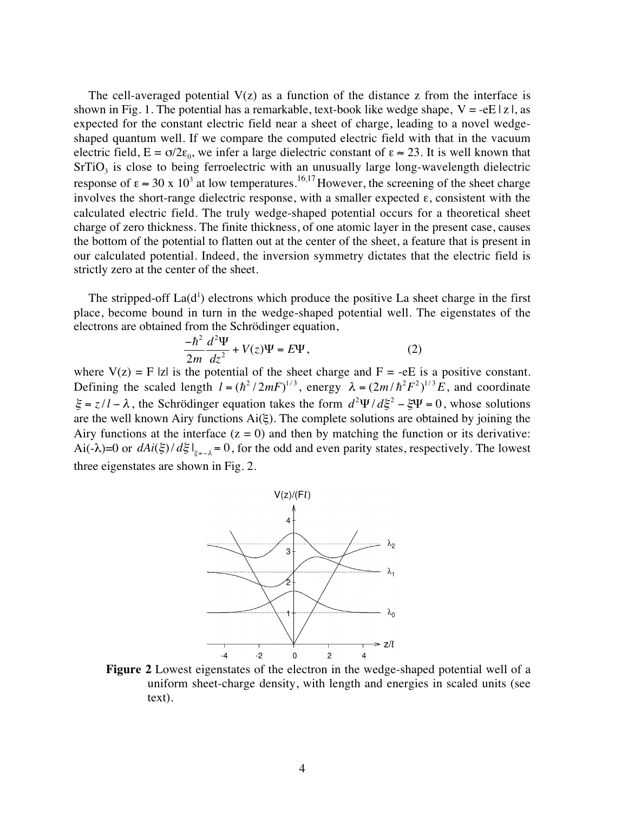The cell-averaged potential  $V(z)$  as a function of the distance z from the interface is shown in Fig. 1. The potential has a remarkable, text-book like wedge shape,  $V = -eE |z|$ , as expected for the constant electric field near a sheet of charge, leading to a novel wedgeshaped quantum well. If we compare the computed electric field with that in the vacuum electric field,  $E = \sigma/2\varepsilon_0$ , we infer a large dielectric constant of  $\varepsilon \approx 23$ . It is well known that SrTiO<sub>3</sub> is close to being ferroelectric with an unusually large long-wavelength dielectric response of  $\varepsilon \approx 30 \times 10^3$  at low temperatures.<sup>16,17</sup> However, the screening of the sheet charge involves the short-range dielectric response, with a smaller expected  $\epsilon$ , consistent with the calculated electric field. The truly wedge-shaped potential occurs for a theoretical sheet charge of zero thickness. The finite thickness, of one atomic layer in the present case, causes the bottom of the potential to flatten out at the center of the sheet, a feature that is present in our calculated potential. Indeed, the inversion symmetry dictates that the electric field is strictly zero at the center of the sheet.

The stripped-off  $La(d<sup>1</sup>)$  electrons which produce the positive La sheet charge in the first place, become bound in turn in the wedge-shaped potential well. The eigenstates of the electrons are obtained from the Schrödinger equation,

$$
\frac{-\hbar^2}{2m}\frac{d^2\Psi}{dz^2} + V(z)\Psi = E\Psi,\tag{2}
$$

where  $V(z) = F |z|$  is the potential of the sheet charge and  $F = -eE$  is a positive constant. Defining the scaled length  $l = (\hbar^2 / 2mF)^{1/3}$ , energy  $\lambda = (2m/\hbar^2 F^2)^{1/3} E$ , and coordinate  $\xi = z/l - \lambda$ , the Schrödinger equation takes the form  $d^2\Psi/d\xi^2 - \xi\Psi = 0$ , whose solutions are the well known Airy functions  $Ai(\xi)$ . The complete solutions are obtained by joining the Airy functions at the interface  $(z = 0)$  and then by matching the function or its derivative: Ai(- $\lambda$ )=0 or  $dAi(\xi)/d\xi|_{\xi=\lambda} = 0$ , for the odd and even parity states, respectively. The lowest three eigenstates are shown in Fig. 2.



**Figure 2** Lowest eigenstates of the electron in the wedge-shaped potential well of a uniform sheet-charge density, with length and energies in scaled units (see text).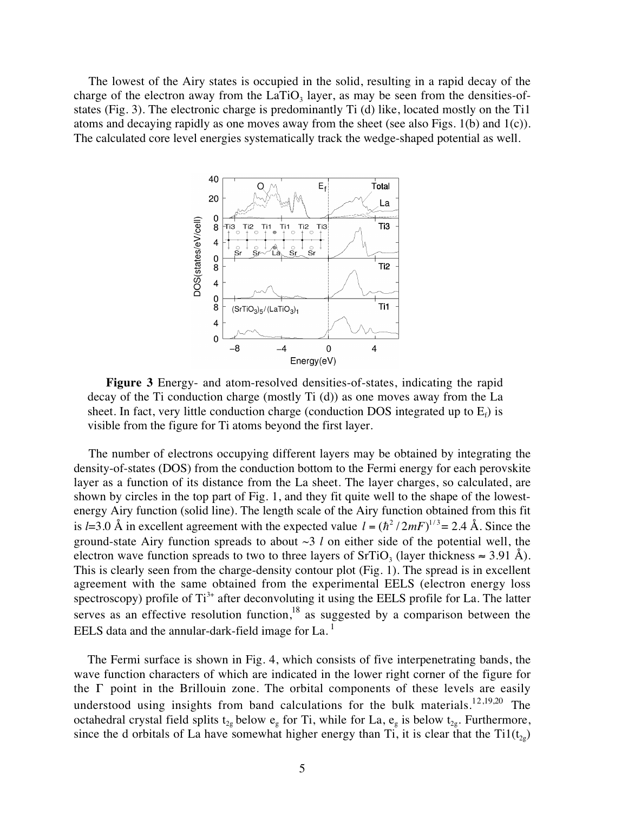The lowest of the Airy states is occupied in the solid, resulting in a rapid decay of the charge of the electron away from the LaTiO<sub>3</sub> layer, as may be seen from the densities-ofstates (Fig. 3). The electronic charge is predominantly Ti (d) like, located mostly on the Ti1 atoms and decaying rapidly as one moves away from the sheet (see also Figs. 1(b) and 1(c)). The calculated core level energies systematically track the wedge-shaped potential as well.



**Figure 3** Energy- and atom-resolved densities-of-states, indicating the rapid decay of the Ti conduction charge (mostly Ti (d)) as one moves away from the La sheet. In fact, very little conduction charge (conduction DOS integrated up to  $E_f$ ) is visible from the figure for Ti atoms beyond the first layer.

The number of electrons occupying different layers may be obtained by integrating the density-of-states (DOS) from the conduction bottom to the Fermi energy for each perovskite layer as a function of its distance from the La sheet. The layer charges, so calculated, are shown by circles in the top part of Fig. 1, and they fit quite well to the shape of the lowestenergy Airy function (solid line). The length scale of the Airy function obtained from this fit is *l*=3.0 Å in excellent agreement with the expected value  $l = (\hbar^2 / 2mF)^{1/3} = 2.4$  Å. Since the ground-state Airy function spreads to about ~3 *l* on either side of the potential well, the electron wave function spreads to two to three layers of SrTiO<sub>3</sub> (layer thickness  $\approx 3.91$  Å). This is clearly seen from the charge-density contour plot (Fig. 1). The spread is in excellent agreement with the same obtained from the experimental EELS (electron energy loss spectroscopy) profile of  $Ti<sup>3+</sup>$  after deconvoluting it using the EELS profile for La. The latter serves as an effective resolution function, $18$  as suggested by a comparison between the EELS data and the annular-dark-field image for  $La.$ <sup>1</sup>

The Fermi surface is shown in Fig. 4, which consists of five interpenetrating bands, the wave function characters of which are indicated in the lower right corner of the figure for the Γ point in the Brillouin zone. The orbital components of these levels are easily understood using insights from band calculations for the bulk materials.<sup>12,19,20</sup> The octahedral crystal field splits  $t_{2g}$  below  $e_g$  for Ti, while for La,  $e_g$  is below  $t_{2g}$ . Furthermore, since the d orbitals of La have somewhat higher energy than Ti, it is clear that the Ti1( $t_{2g}$ )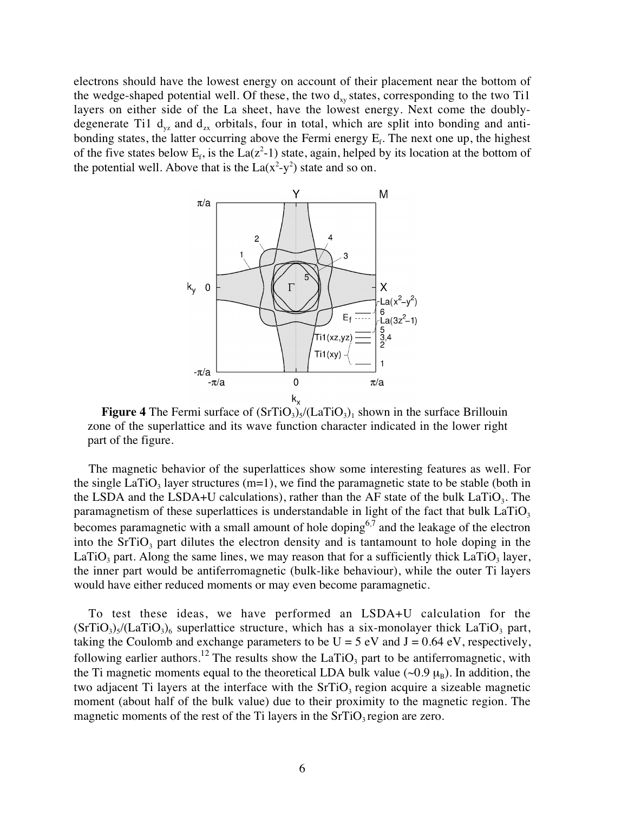electrons should have the lowest energy on account of their placement near the bottom of the wedge-shaped potential well. Of these, the two  $d_{xy}$  states, corresponding to the two Ti1 layers on either side of the La sheet, have the lowest energy. Next come the doublydegenerate Ti1  $d_{yz}$  and  $d_{zx}$  orbitals, four in total, which are split into bonding and antibonding states, the latter occurring above the Fermi energy  $E_f$ . The next one up, the highest of the five states below  $E_f$ , is the La( $z^2$ -1) state, again, helped by its location at the bottom of the potential well. Above that is the  $La(x^2-y^2)$  state and so on.



**Figure 4** The Fermi surface of  $(SrTiO<sub>3</sub>)<sub>5</sub>/(LaTiO<sub>3</sub>)<sub>1</sub>$  shown in the surface Brillouin zone of the superlattice and its wave function character indicated in the lower right part of the figure.

The magnetic behavior of the superlattices show some interesting features as well. For the single LaTiO<sub>3</sub> layer structures (m=1), we find the paramagnetic state to be stable (both in the LSDA and the LSDA+U calculations), rather than the AF state of the bulk  $LaTiO<sub>3</sub>$ . The paramagnetism of these superlattices is understandable in light of the fact that bulk  $LaTiO<sub>3</sub>$ becomes paramagnetic with a small amount of hole doping<sup>6,7</sup> and the leakage of the electron into the  $SrTiO<sub>3</sub>$  part dilutes the electron density and is tantamount to hole doping in the LaTiO<sub>3</sub> part. Along the same lines, we may reason that for a sufficiently thick LaTiO<sub>3</sub> layer, the inner part would be antiferromagnetic (bulk-like behaviour), while the outer Ti layers would have either reduced moments or may even become paramagnetic.

To test these ideas, we have performed an LSDA+U calculation for the  $(SrTiO<sub>3</sub>)<sub>5</sub>$ /(LaTiO<sub>3</sub>)<sub>6</sub> superlattice structure, which has a six-monolayer thick LaTiO<sub>3</sub> part, taking the Coulomb and exchange parameters to be  $U = 5$  eV and  $J = 0.64$  eV, respectively, following earlier authors.<sup>12</sup> The results show the LaTiO<sub>3</sub> part to be antiferromagnetic, with the Ti magnetic moments equal to the theoretical LDA bulk value ( $\sim 0.9 \mu_B$ ). In addition, the two adjacent Ti layers at the interface with the  $SrTiO<sub>3</sub>$  region acquire a sizeable magnetic moment (about half of the bulk value) due to their proximity to the magnetic region. The magnetic moments of the rest of the Ti layers in the  $SrTiO<sub>3</sub>$  region are zero.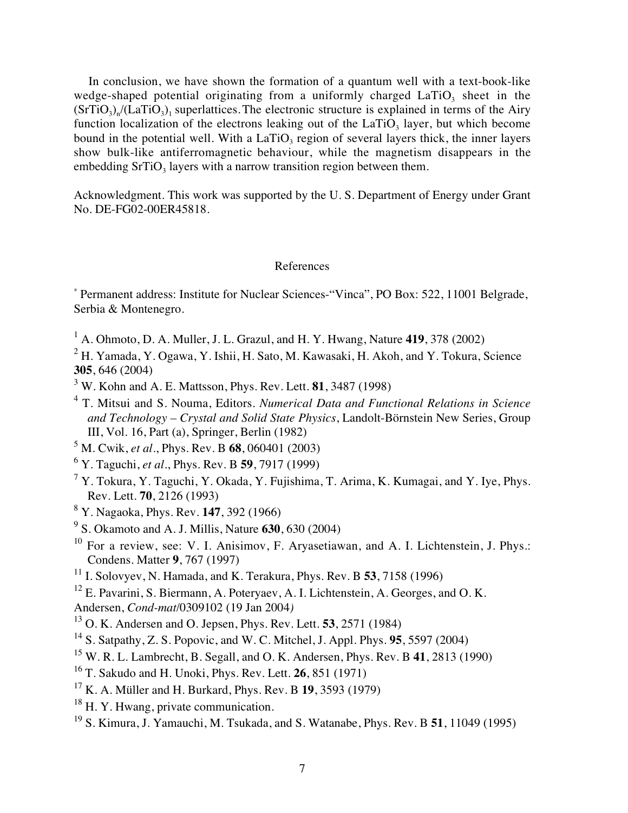In conclusion, we have shown the formation of a quantum well with a text-book-like wedge-shaped potential originating from a uniformly charged  $LaTiO<sub>3</sub>$  sheet in the  $(SrTiO<sub>3</sub>)<sub>n</sub>$ /(LaTiO<sub>3</sub>)<sub>1</sub> superlattices. The electronic structure is explained in terms of the Airy function localization of the electrons leaking out of the  $LaTiO<sub>3</sub>$  layer, but which become bound in the potential well. With a  $LaTiO<sub>3</sub>$  region of several layers thick, the inner layers show bulk-like antiferromagnetic behaviour, while the magnetism disappears in the embedding  $SrTiO<sub>3</sub>$  layers with a narrow transition region between them.

Acknowledgment. This work was supported by the U. S. Department of Energy under Grant No. DE-FG02-00ER45818.

## References

\* Permanent address: Institute for Nuclear Sciences-"Vinca", PO Box: 522, 11001 Belgrade, Serbia & Montenegro.

1 A. Ohmoto, D. A. Muller, J. L. Grazul, and H. Y. Hwang, Nature **419**, 378 (2002)

 $^2$  H. Yamada, Y. Ogawa, Y. Ishii, H. Sato, M. Kawasaki, H. Akoh, and Y. Tokura, Science **305**, 646 (2004)

- 3 W. Kohn and A. E. Mattsson, Phys. Rev. Lett. **81**, 3487 (1998)
- 4 T. Mitsui and S. Nouma, Editors. *Numerical Data and Functional Relations in Science and Technology – Crystal and Solid State Physics*, Landolt-Börnstein New Series, Group III, Vol. 16, Part (a), Springer, Berlin (1982)

5 M. Cwik, *et al.*, Phys. Rev. B **68**, 060401 (2003)

- 6 Y. Taguchi, *et al.*, Phys. Rev. B **59**, 7917 (1999)
- $^7$  Y. Tokura, Y. Taguchi, Y. Okada, Y. Fujishima, T. Arima, K. Kumagai, and Y. Iye, Phys. Rev. Lett. **70**, 2126 (1993)
- 8 Y. Nagaoka, Phys. Rev. **147**, 392 (1966)
- 9 S. Okamoto and A. J. Millis, Nature **630**, 630 (2004)
- $10$  For a review, see: V. I. Anisimov, F. Aryasetiawan, and A. I. Lichtenstein, J. Phys.: Condens. Matter **9**, 767 (1997)
- 11 I. Solovyev, N. Hamada, and K. Terakura, Phys. Rev. B **53**, 7158 (1996)
- <sup>12</sup> E. Pavarini, S. Biermann, A. Poteryaev, A. I. Lichtenstein, A. Georges, and O. K.
- Andersen, *Cond-mat*/0309102 (19 Jan 2004*)*
- 13 O. K. Andersen and O. Jepsen, Phys. Rev. Lett. **53**, 2571 (1984)
- 14 S. Satpathy, Z. S. Popovic, and W. C. Mitchel, J. Appl. Phys. **95**, 5597 (2004)
- 15 W. R. L. Lambrecht, B. Segall, and O. K. Andersen, Phys. Rev. B **41**, 2813 (1990)
- 16 T. Sakudo and H. Unoki, Phys. Rev. Lett. **26**, 851 (1971)
- 17 K. A. Müller and H. Burkard, Phys. Rev. B **19**, 3593 (1979)
- <sup>18</sup> H. Y. Hwang, private communication.
- 19 S. Kimura, J. Yamauchi, M. Tsukada, and S. Watanabe, Phys. Rev. B **51**, 11049 (1995)